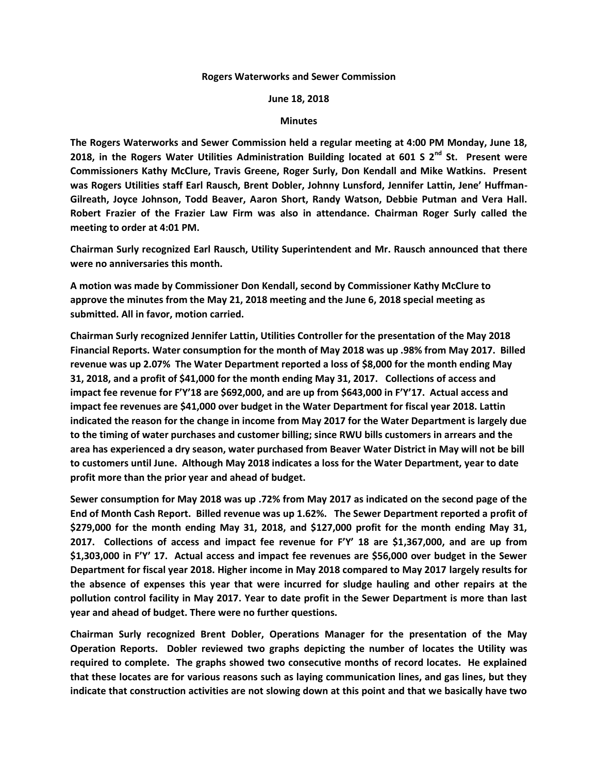## **Rogers Waterworks and Sewer Commission**

## **June 18, 2018**

## **Minutes**

**The Rogers Waterworks and Sewer Commission held a regular meeting at 4:00 PM Monday, June 18, 2018, in the Rogers Water Utilities Administration Building located at 601 S 2nd St. Present were Commissioners Kathy McClure, Travis Greene, Roger Surly, Don Kendall and Mike Watkins. Present was Rogers Utilities staff Earl Rausch, Brent Dobler, Johnny Lunsford, Jennifer Lattin, Jene' Huffman-Gilreath, Joyce Johnson, Todd Beaver, Aaron Short, Randy Watson, Debbie Putman and Vera Hall. Robert Frazier of the Frazier Law Firm was also in attendance. Chairman Roger Surly called the meeting to order at 4:01 PM.**

**Chairman Surly recognized Earl Rausch, Utility Superintendent and Mr. Rausch announced that there were no anniversaries this month.**

**A motion was made by Commissioner Don Kendall, second by Commissioner Kathy McClure to approve the minutes from the May 21, 2018 meeting and the June 6, 2018 special meeting as submitted. All in favor, motion carried.**

**Chairman Surly recognized Jennifer Lattin, Utilities Controller for the presentation of the May 2018 Financial Reports. Water consumption for the month of May 2018 was up .98% from May 2017. Billed revenue was up 2.07% The Water Department reported a loss of \$8,000 for the month ending May 31, 2018, and a profit of \$41,000 for the month ending May 31, 2017. Collections of access and impact fee revenue for F'Y'18 are \$692,000, and are up from \$643,000 in F'Y'17. Actual access and impact fee revenues are \$41,000 over budget in the Water Department for fiscal year 2018. Lattin indicated the reason for the change in income from May 2017 for the Water Department is largely due to the timing of water purchases and customer billing; since RWU bills customers in arrears and the area has experienced a dry season, water purchased from Beaver Water District in May will not be bill to customers until June. Although May 2018 indicates a loss for the Water Department, year to date profit more than the prior year and ahead of budget.**

**Sewer consumption for May 2018 was up .72% from May 2017 as indicated on the second page of the End of Month Cash Report. Billed revenue was up 1.62%. The Sewer Department reported a profit of \$279,000 for the month ending May 31, 2018, and \$127,000 profit for the month ending May 31, 2017. Collections of access and impact fee revenue for F'Y' 18 are \$1,367,000, and are up from \$1,303,000 in F'Y' 17. Actual access and impact fee revenues are \$56,000 over budget in the Sewer Department for fiscal year 2018. Higher income in May 2018 compared to May 2017 largely results for the absence of expenses this year that were incurred for sludge hauling and other repairs at the pollution control facility in May 2017. Year to date profit in the Sewer Department is more than last year and ahead of budget. There were no further questions.**

**Chairman Surly recognized Brent Dobler, Operations Manager for the presentation of the May Operation Reports. Dobler reviewed two graphs depicting the number of locates the Utility was required to complete. The graphs showed two consecutive months of record locates. He explained that these locates are for various reasons such as laying communication lines, and gas lines, but they indicate that construction activities are not slowing down at this point and that we basically have two**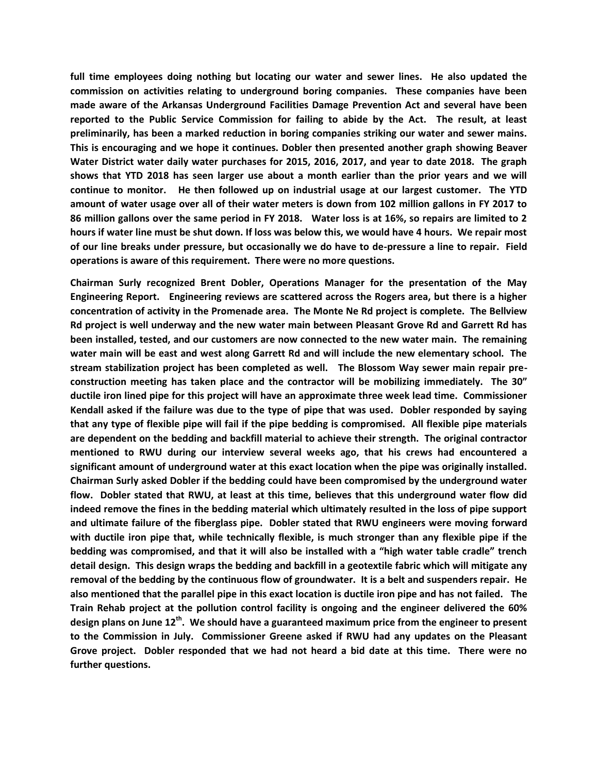**full time employees doing nothing but locating our water and sewer lines. He also updated the commission on activities relating to underground boring companies. These companies have been made aware of the Arkansas Underground Facilities Damage Prevention Act and several have been reported to the Public Service Commission for failing to abide by the Act. The result, at least preliminarily, has been a marked reduction in boring companies striking our water and sewer mains. This is encouraging and we hope it continues. Dobler then presented another graph showing Beaver Water District water daily water purchases for 2015, 2016, 2017, and year to date 2018. The graph shows that YTD 2018 has seen larger use about a month earlier than the prior years and we will continue to monitor. He then followed up on industrial usage at our largest customer. The YTD amount of water usage over all of their water meters is down from 102 million gallons in FY 2017 to 86 million gallons over the same period in FY 2018. Water loss is at 16%, so repairs are limited to 2 hours if water line must be shut down. If loss was below this, we would have 4 hours. We repair most of our line breaks under pressure, but occasionally we do have to de-pressure a line to repair. Field operations is aware of this requirement. There were no more questions.**

**Chairman Surly recognized Brent Dobler, Operations Manager for the presentation of the May Engineering Report. Engineering reviews are scattered across the Rogers area, but there is a higher concentration of activity in the Promenade area. The Monte Ne Rd project is complete. The Bellview Rd project is well underway and the new water main between Pleasant Grove Rd and Garrett Rd has been installed, tested, and our customers are now connected to the new water main. The remaining water main will be east and west along Garrett Rd and will include the new elementary school. The stream stabilization project has been completed as well. The Blossom Way sewer main repair preconstruction meeting has taken place and the contractor will be mobilizing immediately. The 30" ductile iron lined pipe for this project will have an approximate three week lead time. Commissioner Kendall asked if the failure was due to the type of pipe that was used. Dobler responded by saying that any type of flexible pipe will fail if the pipe bedding is compromised. All flexible pipe materials are dependent on the bedding and backfill material to achieve their strength. The original contractor mentioned to RWU during our interview several weeks ago, that his crews had encountered a significant amount of underground water at this exact location when the pipe was originally installed. Chairman Surly asked Dobler if the bedding could have been compromised by the underground water flow. Dobler stated that RWU, at least at this time, believes that this underground water flow did indeed remove the fines in the bedding material which ultimately resulted in the loss of pipe support and ultimate failure of the fiberglass pipe. Dobler stated that RWU engineers were moving forward with ductile iron pipe that, while technically flexible, is much stronger than any flexible pipe if the bedding was compromised, and that it will also be installed with a "high water table cradle" trench detail design. This design wraps the bedding and backfill in a geotextile fabric which will mitigate any removal of the bedding by the continuous flow of groundwater. It is a belt and suspenders repair. He also mentioned that the parallel pipe in this exact location is ductile iron pipe and has not failed. The Train Rehab project at the pollution control facility is ongoing and the engineer delivered the 60% design plans on June 12th. We should have a guaranteed maximum price from the engineer to present to the Commission in July. Commissioner Greene asked if RWU had any updates on the Pleasant Grove project. Dobler responded that we had not heard a bid date at this time. There were no further questions.**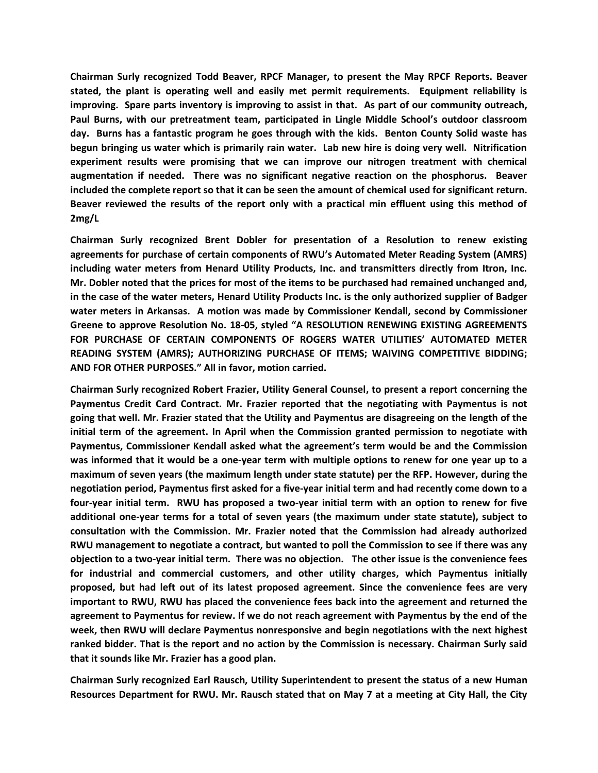**Chairman Surly recognized Todd Beaver, RPCF Manager, to present the May RPCF Reports. Beaver stated, the plant is operating well and easily met permit requirements. Equipment reliability is improving. Spare parts inventory is improving to assist in that. As part of our community outreach, Paul Burns, with our pretreatment team, participated in Lingle Middle School's outdoor classroom day. Burns has a fantastic program he goes through with the kids. Benton County Solid waste has begun bringing us water which is primarily rain water. Lab new hire is doing very well. Nitrification experiment results were promising that we can improve our nitrogen treatment with chemical augmentation if needed. There was no significant negative reaction on the phosphorus. Beaver included the complete report so that it can be seen the amount of chemical used for significant return. Beaver reviewed the results of the report only with a practical min effluent using this method of 2mg/L** 

**Chairman Surly recognized Brent Dobler for presentation of a Resolution to renew existing agreements for purchase of certain components of RWU's Automated Meter Reading System (AMRS) including water meters from Henard Utility Products, Inc. and transmitters directly from Itron, Inc. Mr. Dobler noted that the prices for most of the items to be purchased had remained unchanged and, in the case of the water meters, Henard Utility Products Inc. is the only authorized supplier of Badger water meters in Arkansas. A motion was made by Commissioner Kendall, second by Commissioner Greene to approve Resolution No. 18-05, styled "A RESOLUTION RENEWING EXISTING AGREEMENTS FOR PURCHASE OF CERTAIN COMPONENTS OF ROGERS WATER UTILITIES' AUTOMATED METER READING SYSTEM (AMRS); AUTHORIZING PURCHASE OF ITEMS; WAIVING COMPETITIVE BIDDING; AND FOR OTHER PURPOSES." All in favor, motion carried.**

**Chairman Surly recognized Robert Frazier, Utility General Counsel, to present a report concerning the Paymentus Credit Card Contract. Mr. Frazier reported that the negotiating with Paymentus is not going that well. Mr. Frazier stated that the Utility and Paymentus are disagreeing on the length of the initial term of the agreement. In April when the Commission granted permission to negotiate with Paymentus, Commissioner Kendall asked what the agreement's term would be and the Commission was informed that it would be a one-year term with multiple options to renew for one year up to a maximum of seven years (the maximum length under state statute) per the RFP. However, during the negotiation period, Paymentus first asked for a five-year initial term and had recently come down to a four-year initial term. RWU has proposed a two-year initial term with an option to renew for five additional one-year terms for a total of seven years (the maximum under state statute), subject to consultation with the Commission. Mr. Frazier noted that the Commission had already authorized RWU management to negotiate a contract, but wanted to poll the Commission to see if there was any objection to a two-year initial term. There was no objection. The other issue is the convenience fees for industrial and commercial customers, and other utility charges, which Paymentus initially proposed, but had left out of its latest proposed agreement. Since the convenience fees are very important to RWU, RWU has placed the convenience fees back into the agreement and returned the agreement to Paymentus for review. If we do not reach agreement with Paymentus by the end of the week, then RWU will declare Paymentus nonresponsive and begin negotiations with the next highest ranked bidder. That is the report and no action by the Commission is necessary. Chairman Surly said that it sounds like Mr. Frazier has a good plan.** 

**Chairman Surly recognized Earl Rausch, Utility Superintendent to present the status of a new Human Resources Department for RWU. Mr. Rausch stated that on May 7 at a meeting at City Hall, the City**